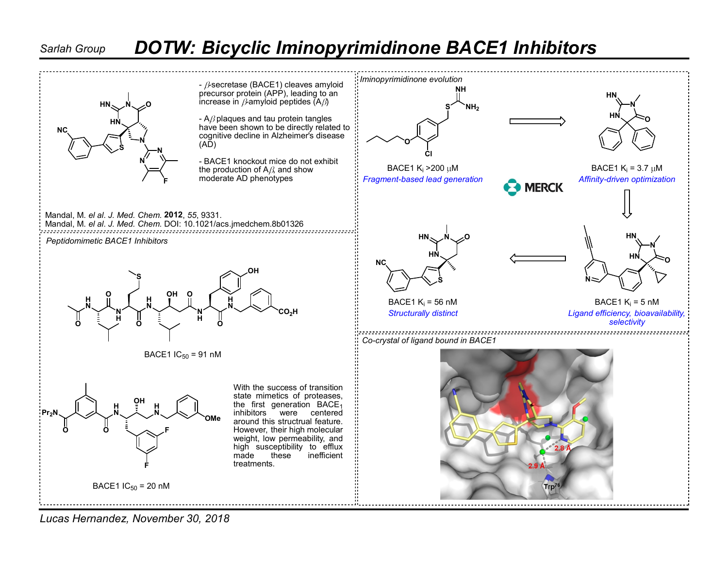## Sarlah Group DOTW: Bicyclic Iminopyrimidinone BACE1 Inhibitors



Lucas Hernandez, November 30, 2018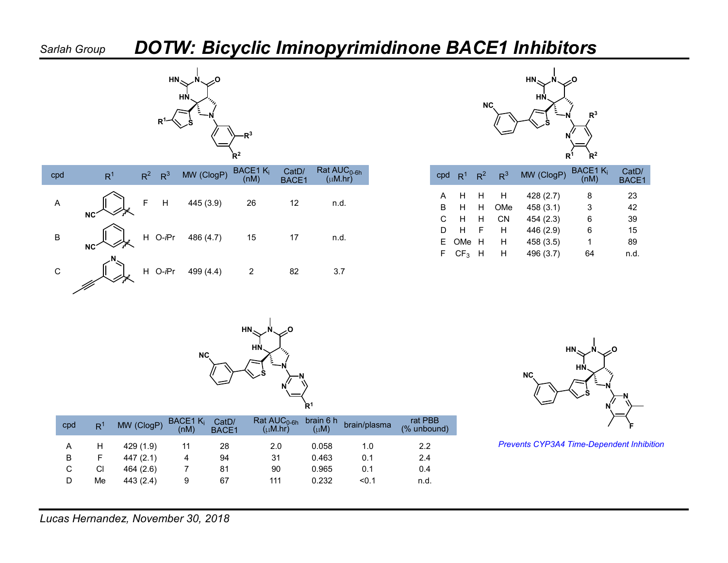## Sarlah Group DOTW: Bicyclic Iminopyrimidinone BACE1 Inhibitors







| $\mathsf{Rat\, AUC}_{0\text{-6h}}$<br>$(\mu M.hr)$ |    | cpd $R^1$             | $R^2$ | R <sup>3</sup> | MW (ClogP) | BACE1 K <sub>i</sub><br>(nM) | CatD/<br>BACE1 |  |
|----------------------------------------------------|----|-----------------------|-------|----------------|------------|------------------------------|----------------|--|
|                                                    | A  | H                     | H     | Н              | 428 (2.7)  | 8                            | 23             |  |
| n.d.                                               | B  | H                     | H     | OMe            | 458 (3.1)  | 3                            | 42             |  |
|                                                    | C. | H                     | H     | <b>CN</b>      | 454(2.3)   | 6                            | 39             |  |
|                                                    | D  | H                     | - F   | H              | 446 (2.9)  | 6                            | 15             |  |
| n.d.                                               |    | E OMe H               |       | H              | 458 (3.5)  |                              | 89             |  |
|                                                    |    | $F$ CF <sub>3</sub> H |       | H              | 496 (3.7)  | 64                           | n.d.           |  |
|                                                    |    |                       |       |                |            |                              |                |  |



| cpd | R <sup>1</sup> | MW (ClogP) | BACE1 $K_i$<br>(nM) | CatD/<br>BACE1 | Rat $AUC_{0-6h}$<br>$(\mu M.hr)$ | brain 6 h<br>$(\mu M)$ | brain/plasma | rat PBB<br>(% unbound) |
|-----|----------------|------------|---------------------|----------------|----------------------------------|------------------------|--------------|------------------------|
|     | H              | 429(1.9)   |                     | 28             | 2.0                              | 0.058                  | 1.0          | 2.2                    |
| В   | F              | 447(2.1)   | 4                   | 94             | 31                               | 0.463                  | 0.1          | 2.4                    |
| С   | CI             | 464(2.6)   |                     | 81             | 90                               | 0.965                  | 0.1          | 0.4                    |
| D   | Me             | 443(2.4)   | 9                   | 67             | 111                              | 0.232                  | < 0.1        | n.d.                   |



<sup>1.0</sup> 2.2 Prevents CYP3A4 Time-Dependent Inhibition